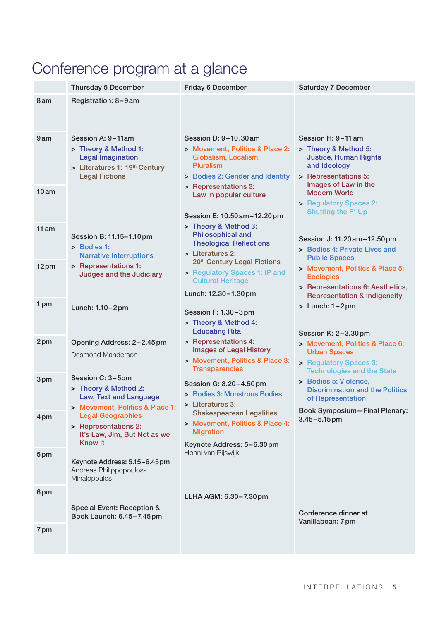# Conference program at a glance

|       | <b>Thursday 5 December</b>                                                                                                      | <b>Friday 6 December</b>                                                                                                                                        | <b>Saturday 7 December</b>                                                                                                                 |
|-------|---------------------------------------------------------------------------------------------------------------------------------|-----------------------------------------------------------------------------------------------------------------------------------------------------------------|--------------------------------------------------------------------------------------------------------------------------------------------|
| 8 am  | Registration: 8-9 am                                                                                                            |                                                                                                                                                                 |                                                                                                                                            |
| 9am   | Session A: 9-11am<br>> Theory & Method 1:<br><b>Legal Imagination</b><br>> Literatures 1: 19th Century<br><b>Legal Fictions</b> | Session D: 9-10.30 am<br>> Movement, Politics & Place 2:<br>Globalism, Localism,<br><b>Pluralism</b><br>> Bodies 2: Gender and Identity<br>> Representations 3: | Session H: 9-11 am<br>> Theory & Method 5:<br><b>Justice, Human Rights</b><br>and Ideology<br>> Representations 5:<br>Images of Law in the |
| 10am  |                                                                                                                                 | Law in popular culture<br>Session E: 10.50 am - 12.20 pm                                                                                                        | <b>Modern World</b><br>> Regulatory Spaces 2:<br>Shutting the F* Up                                                                        |
| 11 am | Session B: 11.15-1.10pm<br>> Bodies 1:<br><b>Narrative Interruptions</b>                                                        | > Theory & Method 3:<br><b>Philosophical and</b><br><b>Theological Reflections</b><br>> Literatures 2:                                                          | Session J: 11.20 am - 12.50 pm<br>> Bodies 4: Private Lives and<br><b>Public Spaces</b>                                                    |
| 12pm  | > Representations 1:<br><b>Judges and the Judiciary</b>                                                                         | 20 <sup>th</sup> Century Legal Fictions<br>> Regulatory Spaces 1: IP and<br><b>Cultural Heritage</b><br>Lunch: 12.30-1.30pm                                     | > Movement, Politics & Place 5:<br><b>Ecologies</b><br>> Representations 6: Aesthetics,<br><b>Representation &amp; Indigeneity</b>         |
| 1 pm  | Lunch: 1.10-2pm                                                                                                                 | Session F: 1.30-3pm<br>> Theory & Method 4:<br><b>Educating Rita</b>                                                                                            | $>$ Lunch: $1-2$ pm<br>Session K: 2-3.30pm                                                                                                 |
| 2pm   | Opening Address: 2-2.45 pm<br>Desmond Manderson                                                                                 | > Representations 4:<br><b>Images of Legal History</b><br>> Movement, Politics & Place 3:<br><b>Transparencies</b>                                              | > Movement, Politics & Place 6:<br><b>Urban Spaces</b><br>> Regulatory Spaces 3:<br><b>Technologies and the State</b>                      |
| 3pm   | Session C: 3-5pm<br>> Theory & Method 2:<br>Law, Text and Language<br>> Movement, Politics & Place 1:                           | Session G: 3.20-4.50pm<br>> Bodies 3: Monstrous Bodies<br>> Literatures 3:                                                                                      | > Bodies 5: Violence,<br><b>Discrimination and the Politics</b><br>of Representation                                                       |
| 4pm   | <b>Legal Geographies</b><br>> Representations 2:<br>It's Law, Jim, But Not as we<br><b>Know It</b>                              | <b>Shakespearean Legalities</b><br>> Movement, Politics & Place 4:<br><b>Migration</b><br>Keynote Address: 5-6.30pm                                             | Book Symposium-Final Plenary:<br>$3.45 - 5.15$ pm                                                                                          |
| 5pm   | Keynote Address: 5.15-6.45pm<br>Andreas Philippopoulos-<br>Mihalopoulos                                                         | Honni van Rijswijk                                                                                                                                              |                                                                                                                                            |
| 6pm   | Special Event: Reception &<br>Book Launch: 6.45-7.45pm                                                                          | LLHA AGM: 6.30-7.30 pm                                                                                                                                          | Conference dinner at<br>Vanillabean: 7pm                                                                                                   |
| 7pm   |                                                                                                                                 |                                                                                                                                                                 |                                                                                                                                            |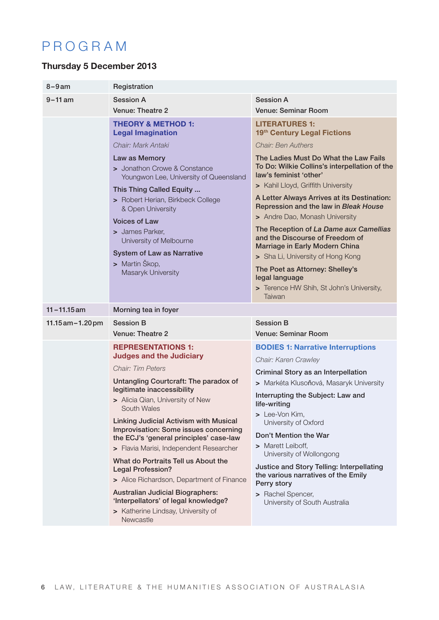## PROGRAM

### Thursday 5 December 2013

| $8 - 9$ am            | Registration                                                                                                                                                                                                                                                                                                                                                                                                                                                                                                                                                                                                                                             |                                                                                                                                                                                                                                                                                                                                                                                                                                                                                                                                                 |  |
|-----------------------|----------------------------------------------------------------------------------------------------------------------------------------------------------------------------------------------------------------------------------------------------------------------------------------------------------------------------------------------------------------------------------------------------------------------------------------------------------------------------------------------------------------------------------------------------------------------------------------------------------------------------------------------------------|-------------------------------------------------------------------------------------------------------------------------------------------------------------------------------------------------------------------------------------------------------------------------------------------------------------------------------------------------------------------------------------------------------------------------------------------------------------------------------------------------------------------------------------------------|--|
| $9 - 11$ am           | <b>Session A</b>                                                                                                                                                                                                                                                                                                                                                                                                                                                                                                                                                                                                                                         | <b>Session A</b>                                                                                                                                                                                                                                                                                                                                                                                                                                                                                                                                |  |
|                       | Venue: Theatre 2                                                                                                                                                                                                                                                                                                                                                                                                                                                                                                                                                                                                                                         | Venue: Seminar Room                                                                                                                                                                                                                                                                                                                                                                                                                                                                                                                             |  |
|                       | <b>THEORY &amp; METHOD 1:</b><br><b>Legal Imagination</b>                                                                                                                                                                                                                                                                                                                                                                                                                                                                                                                                                                                                | <b>LITERATURES 1:</b><br>19th Century Legal Fictions                                                                                                                                                                                                                                                                                                                                                                                                                                                                                            |  |
|                       | Chair: Mark Antaki                                                                                                                                                                                                                                                                                                                                                                                                                                                                                                                                                                                                                                       | Chair: Ben Authers                                                                                                                                                                                                                                                                                                                                                                                                                                                                                                                              |  |
|                       | Law as Memory<br>> Jonathon Crowe & Constance<br>Youngwon Lee, University of Queensland<br>This Thing Called Equity<br>> Robert Herian, Birkbeck College<br>& Open University<br><b>Voices of Law</b><br>> James Parker,<br>University of Melbourne<br><b>System of Law as Narrative</b><br>> Martin Škop,<br>Masaryk University                                                                                                                                                                                                                                                                                                                         | The Ladies Must Do What the Law Fails<br>To Do: Wilkie Collins's interpellation of the<br>law's feminist 'other'<br>> Kahil Lloyd, Griffith University<br>A Letter Always Arrives at its Destination:<br>Repression and the law in Bleak House<br>> Andre Dao, Monash University<br>The Reception of La Dame aux Camellias<br>and the Discourse of Freedom of<br>Marriage in Early Modern China<br>> Sha Li, University of Hong Kong<br>The Poet as Attorney: Shelley's<br>legal language<br>> Terence HW Shih, St John's University,<br>Taiwan |  |
| $11 - 11.15$ am       | Morning tea in foyer                                                                                                                                                                                                                                                                                                                                                                                                                                                                                                                                                                                                                                     |                                                                                                                                                                                                                                                                                                                                                                                                                                                                                                                                                 |  |
|                       | <b>Session B</b>                                                                                                                                                                                                                                                                                                                                                                                                                                                                                                                                                                                                                                         | <b>Session B</b>                                                                                                                                                                                                                                                                                                                                                                                                                                                                                                                                |  |
| $11.15$ am $-1.20$ pm | Venue: Theatre 2                                                                                                                                                                                                                                                                                                                                                                                                                                                                                                                                                                                                                                         | <b>Venue: Seminar Room</b>                                                                                                                                                                                                                                                                                                                                                                                                                                                                                                                      |  |
|                       | <b>REPRESENTATIONS 1:</b><br><b>Judges and the Judiciary</b><br>Chair: Tim Peters<br><b>Untangling Courtcraft: The paradox of</b><br>legitimate inaccessibility<br>> Alicia Qian, University of New<br>South Wales<br><b>Linking Judicial Activism with Musical</b><br>Improvisation: Some issues concerning<br>the ECJ's 'general principles' case-law<br>> Flavia Marisi, Independent Researcher<br>What do Portraits Tell us About the<br><b>Legal Profession?</b><br>> Alice Richardson, Department of Finance<br><b>Australian Judicial Biographers:</b><br>'Interpellators' of legal knowledge?<br>> Katherine Lindsay, University of<br>Newcastle | <b>BODIES 1: Narrative Interruptions</b><br>Chair: Karen Crawley<br>Criminal Story as an Interpellation<br>> Markéta Klusoňová, Masaryk University<br>Interrupting the Subject: Law and<br>life-writing<br>> Lee-Von Kim,<br>University of Oxford<br>Don't Mention the War<br>> Marett Leiboff,<br>University of Wollongong<br>Justice and Story Telling: Interpellating<br>the various narratives of the Emily<br>Perry story<br>> Rachel Spencer,<br>University of South Australia                                                            |  |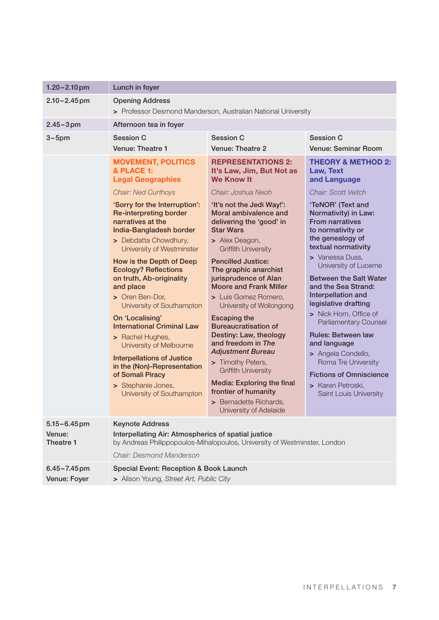| $1.20 - 2.10$ pm                        | Lunch in foyer                                                                                                                                                                                                                                                                                                                                                                                                                                                                                                                                                                                                                                                                  |                                                                                                                                                                                                                                                                                                                                                                                                                                                                                                                                                                                                                                                                                                                                   |                                                                                                                                                                                                                                                                                                                                                                                                                                                                                                                                                                                                                 |
|-----------------------------------------|---------------------------------------------------------------------------------------------------------------------------------------------------------------------------------------------------------------------------------------------------------------------------------------------------------------------------------------------------------------------------------------------------------------------------------------------------------------------------------------------------------------------------------------------------------------------------------------------------------------------------------------------------------------------------------|-----------------------------------------------------------------------------------------------------------------------------------------------------------------------------------------------------------------------------------------------------------------------------------------------------------------------------------------------------------------------------------------------------------------------------------------------------------------------------------------------------------------------------------------------------------------------------------------------------------------------------------------------------------------------------------------------------------------------------------|-----------------------------------------------------------------------------------------------------------------------------------------------------------------------------------------------------------------------------------------------------------------------------------------------------------------------------------------------------------------------------------------------------------------------------------------------------------------------------------------------------------------------------------------------------------------------------------------------------------------|
| $2.10 - 2.45$ pm                        | <b>Opening Address</b><br>> Professor Desmond Manderson, Australian National University                                                                                                                                                                                                                                                                                                                                                                                                                                                                                                                                                                                         |                                                                                                                                                                                                                                                                                                                                                                                                                                                                                                                                                                                                                                                                                                                                   |                                                                                                                                                                                                                                                                                                                                                                                                                                                                                                                                                                                                                 |
| $2.45 - 3pm$                            | Afternoon tea in foyer                                                                                                                                                                                                                                                                                                                                                                                                                                                                                                                                                                                                                                                          |                                                                                                                                                                                                                                                                                                                                                                                                                                                                                                                                                                                                                                                                                                                                   |                                                                                                                                                                                                                                                                                                                                                                                                                                                                                                                                                                                                                 |
| $3-5$ pm                                | <b>Session C</b><br>Venue: Theatre 1                                                                                                                                                                                                                                                                                                                                                                                                                                                                                                                                                                                                                                            | <b>Session C</b><br>Venue: Theatre 2                                                                                                                                                                                                                                                                                                                                                                                                                                                                                                                                                                                                                                                                                              | <b>Session C</b><br><b>Venue: Seminar Room</b>                                                                                                                                                                                                                                                                                                                                                                                                                                                                                                                                                                  |
|                                         | <b>MOVEMENT, POLITICS</b><br>& PLACE 1:<br><b>Legal Geographies</b><br><b>Chair: Ned Curthoys</b><br>'Sorry for the Interruption':<br><b>Re-interpreting border</b><br>narratives at the<br>India-Bangladesh border<br>> Debdatta Chowdhury,<br>University of Westminster<br>How is the Depth of Deep<br><b>Ecology? Reflections</b><br>on truth, Ab-originality<br>and place<br>> Oren Ben-Dor,<br>University of Southampton<br>On 'Localising'<br><b>International Criminal Law</b><br>> Rachel Hughes,<br>University of Melbourne<br><b>Interpellations of Justice</b><br>in the (Non)-Representation<br>of Somali Piracy<br>> Stephanie Jones,<br>University of Southampton | <b>REPRESENTATIONS 2:</b><br>It's Law, Jim, But Not as<br><b>We Know It</b><br>Chair: Joshua Neoh<br>'It's not the Jedi Way!':<br>Moral ambivalence and<br>delivering the 'good' in<br><b>Star Wars</b><br>> Alex Deagon,<br><b>Griffith University</b><br><b>Pencilled Justice:</b><br>The graphic anarchist<br>jurisprudence of Alan<br><b>Moore and Frank Miller</b><br>> Luis Gomez Romero,<br>University of Wollongong<br><b>Escaping the</b><br><b>Bureaucratisation of</b><br>Destiny: Law, theology<br>and freedom in The<br><b>Adjustment Bureau</b><br>> Timothy Peters,<br><b>Griffith University</b><br><b>Media: Exploring the final</b><br>frontier of humanity<br>> Bernadette Richards,<br>University of Adelaide | <b>THEORY &amp; METHOD 2:</b><br>Law, Text<br>and Language<br>Chair: Scott Veitch<br>'TeNOR' (Text and<br>Normativity) in Law:<br><b>From narratives</b><br>to normativity or<br>the genealogy of<br>textual normativity<br>> Vanessa Duss,<br>University of Lucerne<br><b>Between the Salt Water</b><br>and the Sea Strand:<br>Interpellation and<br>legislative drafting<br>> Nick Horn, Office of<br><b>Parliamentary Counsel</b><br><b>Rules: Between law</b><br>and language<br>> Angela Condello,<br>Roma Tre University<br><b>Fictions of Omniscience</b><br>> Karen Petroski,<br>Saint Louis University |
| $5.15 - 6.45$ pm<br>Venue:<br>Theatre 1 | <b>Keynote Address</b><br>Interpellating Air: Atmospherics of spatial justice<br>by Andreas Philippopoulos-Mihalopoulos, University of Westminster, London<br>Chair: Desmond Manderson                                                                                                                                                                                                                                                                                                                                                                                                                                                                                          |                                                                                                                                                                                                                                                                                                                                                                                                                                                                                                                                                                                                                                                                                                                                   |                                                                                                                                                                                                                                                                                                                                                                                                                                                                                                                                                                                                                 |
| $6.45 - 7.45$ pm<br>Venue: Foyer        | Special Event: Reception & Book Launch<br>> Alison Young, Street Art, Public City                                                                                                                                                                                                                                                                                                                                                                                                                                                                                                                                                                                               |                                                                                                                                                                                                                                                                                                                                                                                                                                                                                                                                                                                                                                                                                                                                   |                                                                                                                                                                                                                                                                                                                                                                                                                                                                                                                                                                                                                 |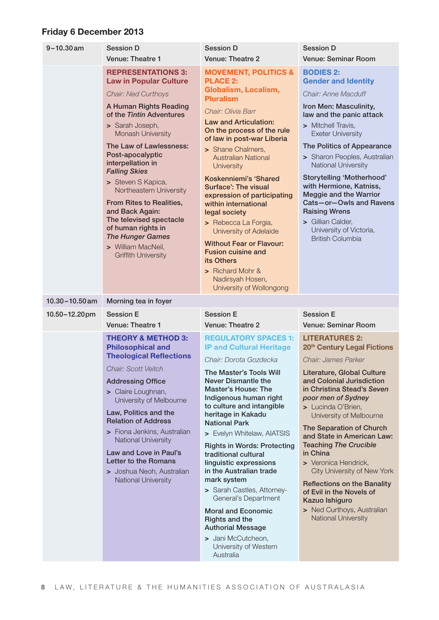### Friday 6 December 2013

| $9 - 10.30$ am     | <b>Session D</b><br>Venue: Theatre 1                                                                                                                                                                                                                                                                                                                                                                                                                                                                               | <b>Session D</b><br><b>Venue: Theatre 2</b>                                                                                                                                                                                                                                                                                                                                                                                                                                                                                                                                                                                                       | <b>Session D</b><br><b>Venue: Seminar Room</b>                                                                                                                                                                                                                                                                                                                                                                                                                                                                                                                |
|--------------------|--------------------------------------------------------------------------------------------------------------------------------------------------------------------------------------------------------------------------------------------------------------------------------------------------------------------------------------------------------------------------------------------------------------------------------------------------------------------------------------------------------------------|---------------------------------------------------------------------------------------------------------------------------------------------------------------------------------------------------------------------------------------------------------------------------------------------------------------------------------------------------------------------------------------------------------------------------------------------------------------------------------------------------------------------------------------------------------------------------------------------------------------------------------------------------|---------------------------------------------------------------------------------------------------------------------------------------------------------------------------------------------------------------------------------------------------------------------------------------------------------------------------------------------------------------------------------------------------------------------------------------------------------------------------------------------------------------------------------------------------------------|
|                    | <b>REPRESENTATIONS 3:</b><br><b>Law in Popular Culture</b><br><b>Chair: Ned Curthoys</b><br>A Human Rights Reading<br>of the Tintin Adventures<br>> Sarah Joseph,<br>Monash University<br>The Law of Lawlessness:<br>Post-apocalyptic<br>interpellation in<br><b>Falling Skies</b><br>> Steven S Kapica,<br>Northeastern University<br>From Rites to Realities,<br>and Back Again:<br>The televised spectacle<br>of human rights in<br><b>The Hunger Games</b><br>> William MacNeil,<br><b>Griffith University</b> | <b>MOVEMENT, POLITICS &amp;</b><br><b>PLACE 2:</b><br>Globalism, Localism,<br><b>Pluralism</b><br>Chair: Olivia Barr<br><b>Law and Articulation:</b><br>On the process of the rule<br>of law in post-war Liberia<br>> Shane Chalmers,<br><b>Australian National</b><br><b>University</b><br>Koskenniemi's 'Shared<br><b>Surface': The visual</b><br>expression of participating<br>within international<br>legal society<br>> Rebecca La Forgia,<br>University of Adelaide<br><b>Without Fear or Flavour:</b><br><b>Fusion cuisine and</b><br>its Others<br>> Richard Mohr &<br>Nadirsyah Hosen,<br>University of Wollongong                      | <b>BODIES 2:</b><br><b>Gender and Identity</b><br>Chair: Anne Macduff<br>Iron Men: Masculinity,<br>law and the panic attack<br>> Mitchell Travis,<br><b>Exeter University</b><br>The Politics of Appearance<br>> Sharon Peoples, Australian<br>National University<br>Storytelling 'Motherhood'<br>with Hermione, Katniss,<br><b>Meggie and the Warrior</b><br>Cats-or-Owls and Ravens<br><b>Raising Wrens</b><br>> Gillian Calder,<br>University of Victoria,<br><b>British Columbia</b>                                                                     |
| $10.30 - 10.50$ am | Morning tea in foyer                                                                                                                                                                                                                                                                                                                                                                                                                                                                                               |                                                                                                                                                                                                                                                                                                                                                                                                                                                                                                                                                                                                                                                   |                                                                                                                                                                                                                                                                                                                                                                                                                                                                                                                                                               |
| 10.50-12.20pm      | <b>Session E</b><br><b>Venue: Theatre 1</b>                                                                                                                                                                                                                                                                                                                                                                                                                                                                        | <b>Session E</b><br><b>Venue: Theatre 2</b>                                                                                                                                                                                                                                                                                                                                                                                                                                                                                                                                                                                                       | <b>Session E</b><br><b>Venue: Seminar Room</b>                                                                                                                                                                                                                                                                                                                                                                                                                                                                                                                |
|                    | <b>THEORY &amp; METHOD 3:</b><br><b>Philosophical and</b><br><b>Theological Reflections</b><br><b>Chair: Scott Veitch</b><br><b>Addressing Office</b><br>> Claire Loughnan,<br>University of Melbourne<br>Law, Politics and the<br><b>Relation of Address</b><br>> Fiona Jenkins, Australian<br><b>National University</b><br>Law and Love in Paul's<br>Letter to the Romans<br>> Joshua Neoh, Australian<br>National University                                                                                   | <b>REGULATORY SPACES 1:</b><br><b>IP and Cultural Heritage</b><br>Chair: Dorota Gozdecka<br>The Master's Tools Will<br><b>Never Dismantle the</b><br><b>Master's House: The</b><br>Indigenous human right<br>to culture and intangible<br>heritage in Kakadu<br><b>National Park</b><br>> Evelyn Whitelaw, AIATSIS<br><b>Rights in Words: Protecting</b><br>traditional cultural<br>linguistic expressions<br>in the Australian trade<br>mark system<br>> Sarah Castles, Attorney-<br>General's Department<br><b>Moral and Economic</b><br>Rights and the<br><b>Authorial Message</b><br>> Jani McCutcheon,<br>University of Western<br>Australia | <b>LITERATURES 2:</b><br>20 <sup>th</sup> Century Legal Fictions<br>Chair: James Parker<br>Literature, Global Culture<br>and Colonial Jurisdiction<br>in Christina Stead's Seven<br>poor men of Sydney<br>> Lucinda O'Brien,<br>University of Melbourne<br>The Separation of Church<br>and State in American Law:<br><b>Teaching The Crucible</b><br>in China<br>> Veronica Hendrick,<br>City University of New York<br><b>Reflections on the Banality</b><br>of Evil in the Novels of<br>Kazuo Ishiguro<br>> Ned Curthoys, Australian<br>National University |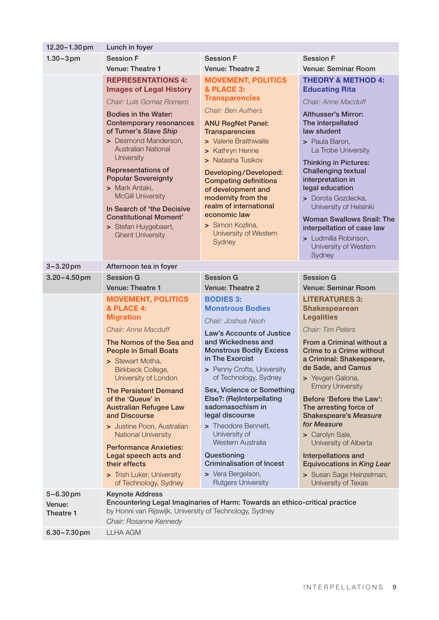| $12.20 - 1.30$ pm      | Lunch in foyer                                                                                                                                                                                                                                                                                                                                                                                                                                                                                                      |                                                                                                                                                                                                                                                                                                                                                                                                                                                                                                      |                                                                                                                                                                                                                                                                                                                                                                                                                                                                                                                          |  |
|------------------------|---------------------------------------------------------------------------------------------------------------------------------------------------------------------------------------------------------------------------------------------------------------------------------------------------------------------------------------------------------------------------------------------------------------------------------------------------------------------------------------------------------------------|------------------------------------------------------------------------------------------------------------------------------------------------------------------------------------------------------------------------------------------------------------------------------------------------------------------------------------------------------------------------------------------------------------------------------------------------------------------------------------------------------|--------------------------------------------------------------------------------------------------------------------------------------------------------------------------------------------------------------------------------------------------------------------------------------------------------------------------------------------------------------------------------------------------------------------------------------------------------------------------------------------------------------------------|--|
| $1.30 - 3 \,\text{pm}$ | <b>Session F</b>                                                                                                                                                                                                                                                                                                                                                                                                                                                                                                    | <b>Session F</b>                                                                                                                                                                                                                                                                                                                                                                                                                                                                                     | <b>Session F</b>                                                                                                                                                                                                                                                                                                                                                                                                                                                                                                         |  |
|                        | Venue: Theatre 1                                                                                                                                                                                                                                                                                                                                                                                                                                                                                                    | <b>Venue: Theatre 2</b>                                                                                                                                                                                                                                                                                                                                                                                                                                                                              | Venue: Seminar Room                                                                                                                                                                                                                                                                                                                                                                                                                                                                                                      |  |
|                        | <b>REPRESENTATIONS 4:</b><br><b>Images of Legal History</b><br>Chair: Luis Gomez Romero<br><b>Bodies in the Water:</b><br><b>Contemporary resonances</b><br>of Turner's Slave Ship<br>> Desmond Manderson,<br><b>Australian National</b><br>University<br>Representations of<br><b>Popular Sovereignty</b><br>> Mark Antaki,<br><b>McGill University</b><br>In Search of 'the Decisive<br><b>Constitutional Moment'</b><br>> Stefan Huygebaert,<br><b>Ghent University</b>                                          | <b>MOVEMENT, POLITICS</b><br>& PLACE 3:<br><b>Transparencies</b><br><b>Chair: Ben Authers</b><br><b>ANU RegNet Panel:</b><br><b>Transparencies</b><br>> Valerie Braithwaite<br>> Kathryn Henne<br>> Natasha Tusikov<br>Developing/Developed:<br><b>Competing definitions</b><br>of development and<br>modernity from the<br>realm of international<br>economic law<br>> Simon Kozlina,<br>University of Western<br>Sydney                                                                            | <b>THEORY &amp; METHOD 4:</b><br><b>Educating Rita</b><br>Chair: Anne Macduff<br><b>Althusser's Mirror:</b><br>The interpellated<br>law student<br>> Paula Baron,<br>La Trobe University<br><b>Thinking in Pictures:</b><br><b>Challenging textual</b><br>interpretation in<br>legal education<br>> Dorota Gozdecka,<br>University of Helsinki<br><b>Woman Swallows Snail: The</b><br>interpellation of case law<br>> Ludmilla Robinson,<br>University of Western<br>Sydney                                              |  |
| $3 - 3.20$ pm          | Afternoon tea in foyer                                                                                                                                                                                                                                                                                                                                                                                                                                                                                              |                                                                                                                                                                                                                                                                                                                                                                                                                                                                                                      |                                                                                                                                                                                                                                                                                                                                                                                                                                                                                                                          |  |
| $3.20 - 4.50$ pm       | <b>Session G</b>                                                                                                                                                                                                                                                                                                                                                                                                                                                                                                    | <b>Session G</b>                                                                                                                                                                                                                                                                                                                                                                                                                                                                                     | <b>Session G</b>                                                                                                                                                                                                                                                                                                                                                                                                                                                                                                         |  |
|                        | <b>Venue: Theatre 1</b>                                                                                                                                                                                                                                                                                                                                                                                                                                                                                             | <b>Venue: Theatre 2</b>                                                                                                                                                                                                                                                                                                                                                                                                                                                                              | <b>Venue: Seminar Room</b>                                                                                                                                                                                                                                                                                                                                                                                                                                                                                               |  |
|                        | <b>MOVEMENT, POLITICS</b><br>& PLACE 4:<br><b>Migration</b><br>Chair: Anne Macduff<br>The Nomos of the Sea and<br><b>People in Small Boats</b><br>> Stewart Motha,<br>Birkbeck College,<br>University of London<br><b>The Persistent Demand</b><br>of the 'Queue' in<br><b>Australian Refugee Law</b><br>and Discourse<br>> Justine Poon, Australian<br><b>National University</b><br><b>Performance Anxieties:</b><br>Legal speech acts and<br>their effects<br>> Trish Luker, University<br>of Technology, Sydney | <b>BODIES 3:</b><br><b>Monstrous Bodies</b><br>Chair: Joshua Neoh<br>Law's Accounts of Justice<br>and Wickedness and<br><b>Monstrous Bodily Excess</b><br>in The Exorcist<br>> Penny Crofts, University<br>of Technology, Sydney<br>Sex, Violence or Something<br>Else?: (Re)Interpellating<br>sadomasochism in<br>legal discourse<br>> Theodore Bennett,<br>University of<br>Western Australia<br>Questioning<br><b>Criminalisation of Incest</b><br>> Vera Bergelson,<br><b>Rutgers University</b> | <b>LITERATURES 3:</b><br><b>Shakespearean</b><br><b>Legalities</b><br>Chair: Tim Peters<br>From a Criminal without a<br>Crime to a Crime without<br>a Criminal: Shakespeare,<br>de Sade, and Camus<br>> Yevgen Galona,<br><b>Emory University</b><br>Before 'Before the Law':<br>The arresting force of<br><b>Shakespeare's Measure</b><br>for Measure<br>> Carolyn Sale,<br>University of Alberta<br><b>Interpellations and</b><br><b>Equivocations in King Lear</b><br>> Susan Sage Heinzelman,<br>University of Texas |  |
| $5 - 6.30$ pm          | <b>Keynote Address</b>                                                                                                                                                                                                                                                                                                                                                                                                                                                                                              | Encountering Legal Imaginaries of Harm: Towards an ethico-critical practice                                                                                                                                                                                                                                                                                                                                                                                                                          |                                                                                                                                                                                                                                                                                                                                                                                                                                                                                                                          |  |
| Venue:<br>Theatre 1    | by Honni van Rijswijk, University of Technology, Sydney<br>Chair: Rosanne Kennedy                                                                                                                                                                                                                                                                                                                                                                                                                                   |                                                                                                                                                                                                                                                                                                                                                                                                                                                                                                      |                                                                                                                                                                                                                                                                                                                                                                                                                                                                                                                          |  |
| $6.30 - 7.30$ pm       | <b>LLHA AGM</b>                                                                                                                                                                                                                                                                                                                                                                                                                                                                                                     |                                                                                                                                                                                                                                                                                                                                                                                                                                                                                                      |                                                                                                                                                                                                                                                                                                                                                                                                                                                                                                                          |  |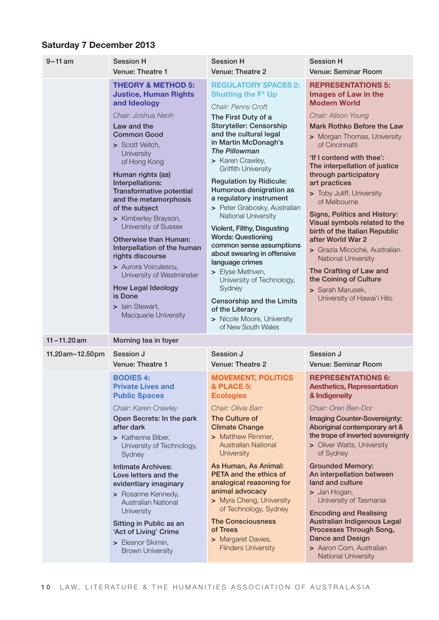#### Saturday 7 December 2013

| $9 - 11$ am         | <b>Session H</b>                                                                                                                                                                                                                                                                                                                                                                                                                                                                                                                                                                            | <b>Session H</b>                                                                                                                                                                                                                                                                                                                                                                                                                                                                                                                                                                                                                                                                                                                   | <b>Session H</b>                                                                                                                                                                                                                                                                                                                                                                                                                                                                                                                                                                                                                 |
|---------------------|---------------------------------------------------------------------------------------------------------------------------------------------------------------------------------------------------------------------------------------------------------------------------------------------------------------------------------------------------------------------------------------------------------------------------------------------------------------------------------------------------------------------------------------------------------------------------------------------|------------------------------------------------------------------------------------------------------------------------------------------------------------------------------------------------------------------------------------------------------------------------------------------------------------------------------------------------------------------------------------------------------------------------------------------------------------------------------------------------------------------------------------------------------------------------------------------------------------------------------------------------------------------------------------------------------------------------------------|----------------------------------------------------------------------------------------------------------------------------------------------------------------------------------------------------------------------------------------------------------------------------------------------------------------------------------------------------------------------------------------------------------------------------------------------------------------------------------------------------------------------------------------------------------------------------------------------------------------------------------|
|                     | <b>Venue: Theatre 1</b>                                                                                                                                                                                                                                                                                                                                                                                                                                                                                                                                                                     | Venue: Theatre 2                                                                                                                                                                                                                                                                                                                                                                                                                                                                                                                                                                                                                                                                                                                   | <b>Venue: Seminar Room</b>                                                                                                                                                                                                                                                                                                                                                                                                                                                                                                                                                                                                       |
|                     | <b>THEORY &amp; METHOD 5:</b><br><b>Justice, Human Rights</b><br>and Ideology<br>Chair: Joshua Neoh<br>Law and the<br><b>Common Good</b><br>> Scott Veitch,<br>University<br>of Hong Kong<br>Human rights (as)<br>Interpellations:<br><b>Transformative potential</b><br>and the metamorphosis<br>of the subject<br>> Kimberley Brayson,<br>University of Sussex<br><b>Otherwise than Human:</b><br>Interpellation of the human<br>rights discourse<br>> Aurora Voiculescu,<br>University of Westminster<br><b>How Legal Ideology</b><br>is Done<br>> Iain Stewart,<br>Macquarie University | <b>REGULATORY SPACES 2:</b><br><b>Shutting the F* Up</b><br>Chair: Penny Croft<br>The First Duty of a<br><b>Storyteller: Censorship</b><br>and the cultural legal<br>in Martin McDonagh's<br><b>The Pillowman</b><br>> Karen Crawley,<br><b>Griffith University</b><br><b>Regulation by Ridicule:</b><br>Humorous denigration as<br>a regulatory instrument<br>> Peter Grabosky, Australian<br><b>National University</b><br>Violent, Filthy, Disgusting<br><b>Words: Questioning</b><br>common sense assumptions<br>about swearing in offensive<br>language crimes<br>> Elyse Methven,<br>University of Technology,<br>Sydney<br>Censorship and the Limits<br>of the Literary<br>> Nicole Moore, University<br>of New South Wales | <b>REPRESENTATIONS 5:</b><br>Images of Law in the<br><b>Modern World</b><br>Chair: Alison Young<br>Mark Rothko Before the Law<br>> Morgan Thomas, University<br>of Cincinnatti<br>'If I contend with thee':<br>The interpellation of justice<br>through participatory<br>art practices<br>> Toby Juliff, University<br>of Melbourne<br>Signs, Politics and History:<br>Visual symbols related to the<br>birth of the Italian Republic<br>after World War 2<br>> Grazia Micciché, Australian<br><b>National University</b><br>The Crafting of Law and<br>the Coining of Culture<br>> Sarah Marusek,<br>University of Hawai'i Hilo |
| $11 - 11.20$ am     | Morning tea in foyer                                                                                                                                                                                                                                                                                                                                                                                                                                                                                                                                                                        |                                                                                                                                                                                                                                                                                                                                                                                                                                                                                                                                                                                                                                                                                                                                    |                                                                                                                                                                                                                                                                                                                                                                                                                                                                                                                                                                                                                                  |
| 11.20 am - 12.50 pm | Session J                                                                                                                                                                                                                                                                                                                                                                                                                                                                                                                                                                                   | Session J                                                                                                                                                                                                                                                                                                                                                                                                                                                                                                                                                                                                                                                                                                                          | Session J                                                                                                                                                                                                                                                                                                                                                                                                                                                                                                                                                                                                                        |
|                     | Venue: Theatre 1                                                                                                                                                                                                                                                                                                                                                                                                                                                                                                                                                                            | <b>Venue: Theatre 2</b>                                                                                                                                                                                                                                                                                                                                                                                                                                                                                                                                                                                                                                                                                                            | <b>Venue: Seminar Room</b>                                                                                                                                                                                                                                                                                                                                                                                                                                                                                                                                                                                                       |
|                     | <b>BODIES 4:</b><br><b>Private Lives and</b><br><b>Public Spaces</b><br>Chair: Karen Crawley<br>Open Secrets: In the park<br>after dark<br>> Katherine Biber,<br>University of Technology,<br>Sydney<br><b>Intimate Archives:</b><br>Love letters and the<br>evidentiary imaginary<br>> Rosanne Kennedy,<br><b>Australian National</b><br>University<br>Sitting in Public as an                                                                                                                                                                                                             | <b>MOVEMENT, POLITICS</b><br>& PLACE 5:<br><b>Ecologies</b><br>Chair: Olivia Barr<br>The Culture of<br><b>Climate Change</b><br>> Matthew Rimmer,<br><b>Australian National</b><br><b>University</b><br>As Human, As Animal:<br><b>PETA and the ethics of</b><br>analogical reasoning for<br>animal advocacy<br>> Myra Cheng, University<br>of Technology, Sydney<br><b>The Consciousness</b>                                                                                                                                                                                                                                                                                                                                      | <b>REPRESENTATIONS 6:</b><br><b>Aesthetics, Representation</b><br>& Indigeneity<br>Chair: Oren Ben-Dor<br><b>Imaging Counter-Sovereignty:</b><br>Aboriginal contemporary art &<br>the trope of inverted sovereignty<br>> Oliver Watts, University<br>of Sydney<br><b>Grounded Memory:</b><br>An interpellation between<br>land and culture<br>> Jan Hogan,<br>University of Tasmania<br><b>Encoding and Realising</b><br>Australian Indigenous Legal<br>Processes Through Song,                                                                                                                                                  |